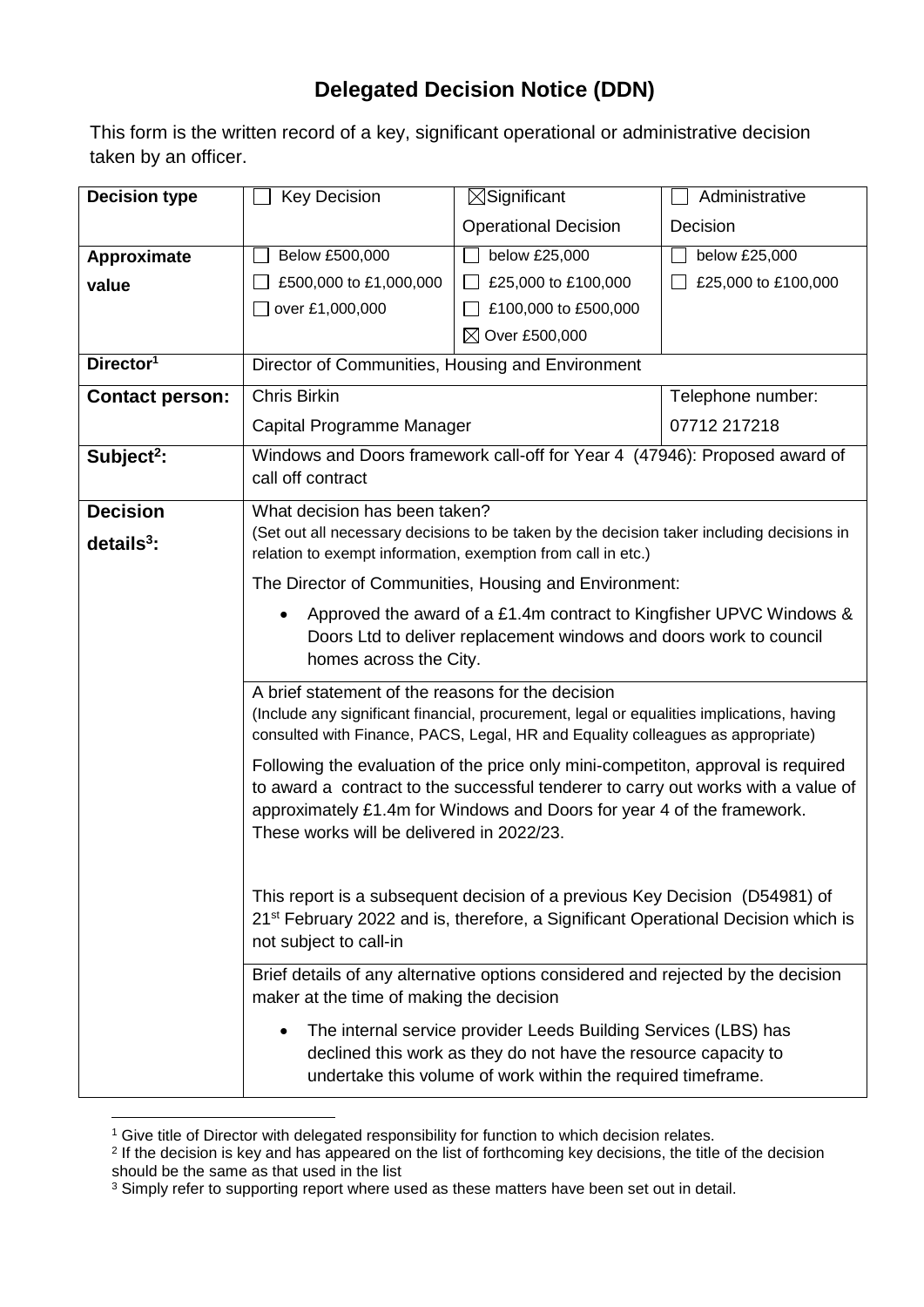## **Delegated Decision Notice (DDN)**

This form is the written record of a key, significant operational or administrative decision taken by an officer.

| <b>Decision type</b>   | <b>Key Decision</b>                                                                                                                                                                                                                                                                                                                                                                                                                                                                                                                                                                                                                                                                                                                                                                                                                          | $\boxtimes$ Significant     | Administrative      |  |
|------------------------|----------------------------------------------------------------------------------------------------------------------------------------------------------------------------------------------------------------------------------------------------------------------------------------------------------------------------------------------------------------------------------------------------------------------------------------------------------------------------------------------------------------------------------------------------------------------------------------------------------------------------------------------------------------------------------------------------------------------------------------------------------------------------------------------------------------------------------------------|-----------------------------|---------------------|--|
|                        |                                                                                                                                                                                                                                                                                                                                                                                                                                                                                                                                                                                                                                                                                                                                                                                                                                              | <b>Operational Decision</b> | Decision            |  |
| Approximate            | Below £500,000                                                                                                                                                                                                                                                                                                                                                                                                                                                                                                                                                                                                                                                                                                                                                                                                                               | below £25,000               | below £25,000       |  |
| value                  | £500,000 to £1,000,000                                                                                                                                                                                                                                                                                                                                                                                                                                                                                                                                                                                                                                                                                                                                                                                                                       | £25,000 to £100,000         | £25,000 to £100,000 |  |
|                        | over £1,000,000                                                                                                                                                                                                                                                                                                                                                                                                                                                                                                                                                                                                                                                                                                                                                                                                                              | £100,000 to £500,000        |                     |  |
|                        |                                                                                                                                                                                                                                                                                                                                                                                                                                                                                                                                                                                                                                                                                                                                                                                                                                              | $\boxtimes$ Over £500,000   |                     |  |
| Director <sup>1</sup>  | Director of Communities, Housing and Environment                                                                                                                                                                                                                                                                                                                                                                                                                                                                                                                                                                                                                                                                                                                                                                                             |                             |                     |  |
| <b>Contact person:</b> | <b>Chris Birkin</b>                                                                                                                                                                                                                                                                                                                                                                                                                                                                                                                                                                                                                                                                                                                                                                                                                          |                             | Telephone number:   |  |
|                        | Capital Programme Manager                                                                                                                                                                                                                                                                                                                                                                                                                                                                                                                                                                                                                                                                                                                                                                                                                    |                             | 07712 217218        |  |
| Subject <sup>2</sup> : | Windows and Doors framework call-off for Year 4 (47946): Proposed award of<br>call off contract                                                                                                                                                                                                                                                                                                                                                                                                                                                                                                                                                                                                                                                                                                                                              |                             |                     |  |
|                        |                                                                                                                                                                                                                                                                                                                                                                                                                                                                                                                                                                                                                                                                                                                                                                                                                                              |                             |                     |  |
| <b>Decision</b>        | What decision has been taken?<br>(Set out all necessary decisions to be taken by the decision taker including decisions in<br>relation to exempt information, exemption from call in etc.)                                                                                                                                                                                                                                                                                                                                                                                                                                                                                                                                                                                                                                                   |                             |                     |  |
| details $3$ :          |                                                                                                                                                                                                                                                                                                                                                                                                                                                                                                                                                                                                                                                                                                                                                                                                                                              |                             |                     |  |
|                        | The Director of Communities, Housing and Environment:                                                                                                                                                                                                                                                                                                                                                                                                                                                                                                                                                                                                                                                                                                                                                                                        |                             |                     |  |
|                        | Approved the award of a £1.4m contract to Kingfisher UPVC Windows &<br>Doors Ltd to deliver replacement windows and doors work to council<br>homes across the City.                                                                                                                                                                                                                                                                                                                                                                                                                                                                                                                                                                                                                                                                          |                             |                     |  |
|                        | A brief statement of the reasons for the decision<br>(Include any significant financial, procurement, legal or equalities implications, having<br>consulted with Finance, PACS, Legal, HR and Equality colleagues as appropriate)                                                                                                                                                                                                                                                                                                                                                                                                                                                                                                                                                                                                            |                             |                     |  |
|                        | Following the evaluation of the price only mini-competiton, approval is required<br>to award a contract to the successful tenderer to carry out works with a value of<br>approximately £1.4m for Windows and Doors for year 4 of the framework.<br>These works will be delivered in 2022/23.<br>This report is a subsequent decision of a previous Key Decision (D54981) of<br>21 <sup>st</sup> February 2022 and is, therefore, a Significant Operational Decision which is<br>not subject to call-in<br>Brief details of any alternative options considered and rejected by the decision<br>maker at the time of making the decision<br>The internal service provider Leeds Building Services (LBS) has<br>declined this work as they do not have the resource capacity to<br>undertake this volume of work within the required timeframe. |                             |                     |  |
|                        |                                                                                                                                                                                                                                                                                                                                                                                                                                                                                                                                                                                                                                                                                                                                                                                                                                              |                             |                     |  |
|                        |                                                                                                                                                                                                                                                                                                                                                                                                                                                                                                                                                                                                                                                                                                                                                                                                                                              |                             |                     |  |
|                        |                                                                                                                                                                                                                                                                                                                                                                                                                                                                                                                                                                                                                                                                                                                                                                                                                                              |                             |                     |  |

<sup>1</sup> <sup>1</sup> Give title of Director with delegated responsibility for function to which decision relates.

<sup>&</sup>lt;sup>2</sup> If the decision is key and has appeared on the list of forthcoming key decisions, the title of the decision should be the same as that used in the list

 $3$  Simply refer to supporting report where used as these matters have been set out in detail.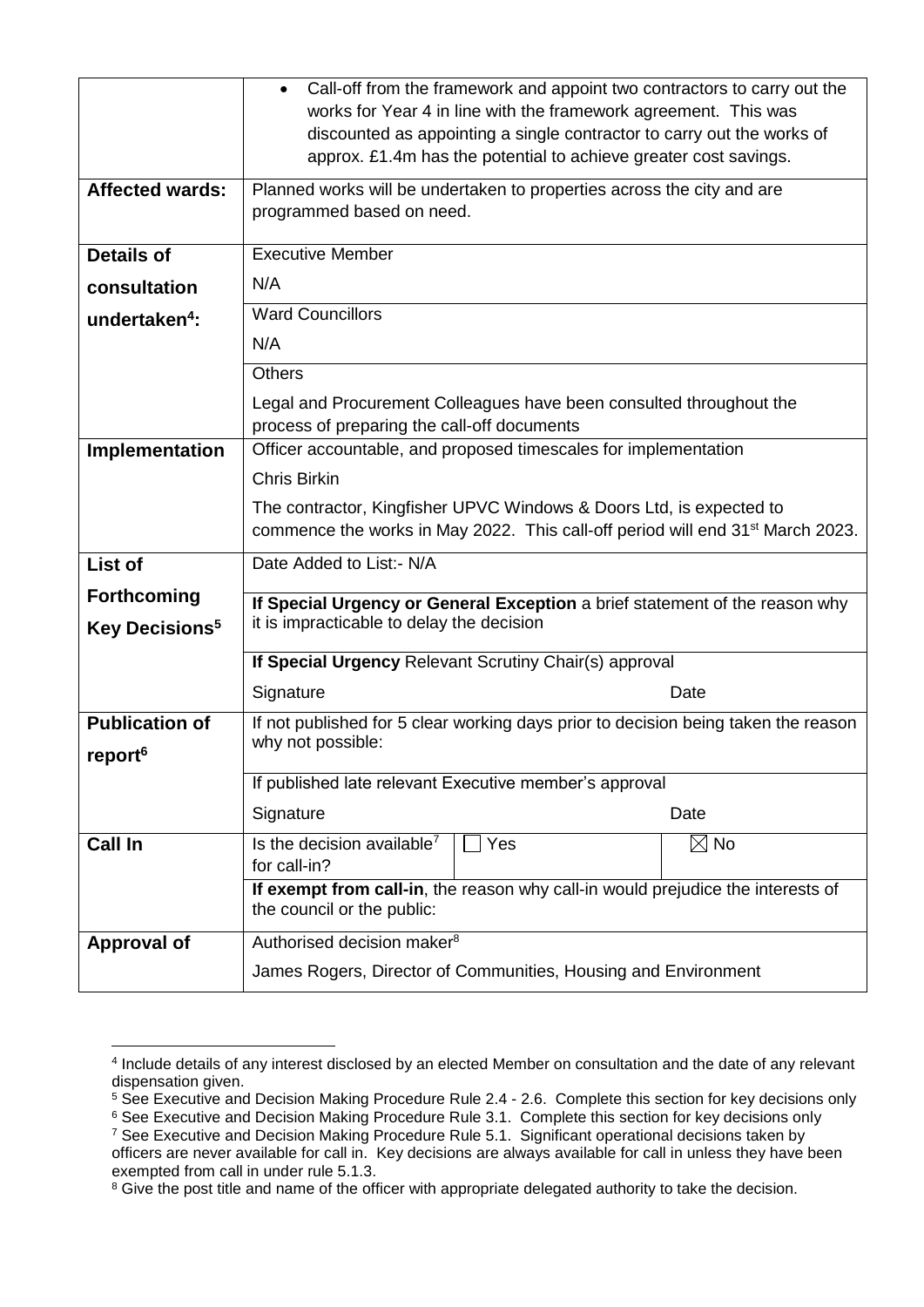|                                                        | • Call-off from the framework and appoint two contractors to carry out the<br>works for Year 4 in line with the framework agreement. This was<br>discounted as appointing a single contractor to carry out the works of<br>approx. £1.4m has the potential to achieve greater cost savings. |  |  |  |
|--------------------------------------------------------|---------------------------------------------------------------------------------------------------------------------------------------------------------------------------------------------------------------------------------------------------------------------------------------------|--|--|--|
| <b>Affected wards:</b>                                 | Planned works will be undertaken to properties across the city and are<br>programmed based on need.                                                                                                                                                                                         |  |  |  |
| <b>Details of</b>                                      | <b>Executive Member</b>                                                                                                                                                                                                                                                                     |  |  |  |
| consultation                                           | N/A                                                                                                                                                                                                                                                                                         |  |  |  |
| undertaken <sup>4</sup> :                              | <b>Ward Councillors</b>                                                                                                                                                                                                                                                                     |  |  |  |
|                                                        | N/A                                                                                                                                                                                                                                                                                         |  |  |  |
|                                                        | <b>Others</b>                                                                                                                                                                                                                                                                               |  |  |  |
|                                                        | Legal and Procurement Colleagues have been consulted throughout the<br>process of preparing the call-off documents                                                                                                                                                                          |  |  |  |
| Implementation                                         | Officer accountable, and proposed timescales for implementation                                                                                                                                                                                                                             |  |  |  |
|                                                        | Chris Birkin                                                                                                                                                                                                                                                                                |  |  |  |
|                                                        | The contractor, Kingfisher UPVC Windows & Doors Ltd, is expected to<br>commence the works in May 2022. This call-off period will end 31 <sup>st</sup> March 2023.                                                                                                                           |  |  |  |
| List of                                                | Date Added to List:- N/A                                                                                                                                                                                                                                                                    |  |  |  |
| <b>Forthcoming</b><br><b>Key Decisions<sup>5</sup></b> | If Special Urgency or General Exception a brief statement of the reason why<br>it is impracticable to delay the decision                                                                                                                                                                    |  |  |  |
|                                                        |                                                                                                                                                                                                                                                                                             |  |  |  |
|                                                        | If Special Urgency Relevant Scrutiny Chair(s) approval                                                                                                                                                                                                                                      |  |  |  |
|                                                        | Signature<br>Date                                                                                                                                                                                                                                                                           |  |  |  |
| <b>Publication of</b><br>report <sup>6</sup>           | If not published for 5 clear working days prior to decision being taken the reason<br>why not possible:                                                                                                                                                                                     |  |  |  |
|                                                        | If published late relevant Executive member's approval                                                                                                                                                                                                                                      |  |  |  |
|                                                        | Signature<br>Date                                                                                                                                                                                                                                                                           |  |  |  |
| <b>Call In</b>                                         | $\boxtimes$ No<br>Is the decision available <sup>7</sup><br>Yes<br>for call-in?                                                                                                                                                                                                             |  |  |  |
|                                                        | If exempt from call-in, the reason why call-in would prejudice the interests of<br>the council or the public:                                                                                                                                                                               |  |  |  |
| <b>Approval of</b>                                     | Authorised decision maker <sup>8</sup>                                                                                                                                                                                                                                                      |  |  |  |
|                                                        | James Rogers, Director of Communities, Housing and Environment                                                                                                                                                                                                                              |  |  |  |

<sup>6</sup> See Executive and Decision Making Procedure Rule 3.1. Complete this section for key decisions only

1

<sup>4</sup> Include details of any interest disclosed by an elected Member on consultation and the date of any relevant dispensation given.

<sup>&</sup>lt;sup>5</sup> See Executive and Decision Making Procedure Rule 2.4 - 2.6. Complete this section for key decisions only

<sup>&</sup>lt;sup>7</sup> See Executive and Decision Making Procedure Rule 5.1. Significant operational decisions taken by officers are never available for call in. Key decisions are always available for call in unless they have been exempted from call in under rule 5.1.3.

<sup>&</sup>lt;sup>8</sup> Give the post title and name of the officer with appropriate delegated authority to take the decision.